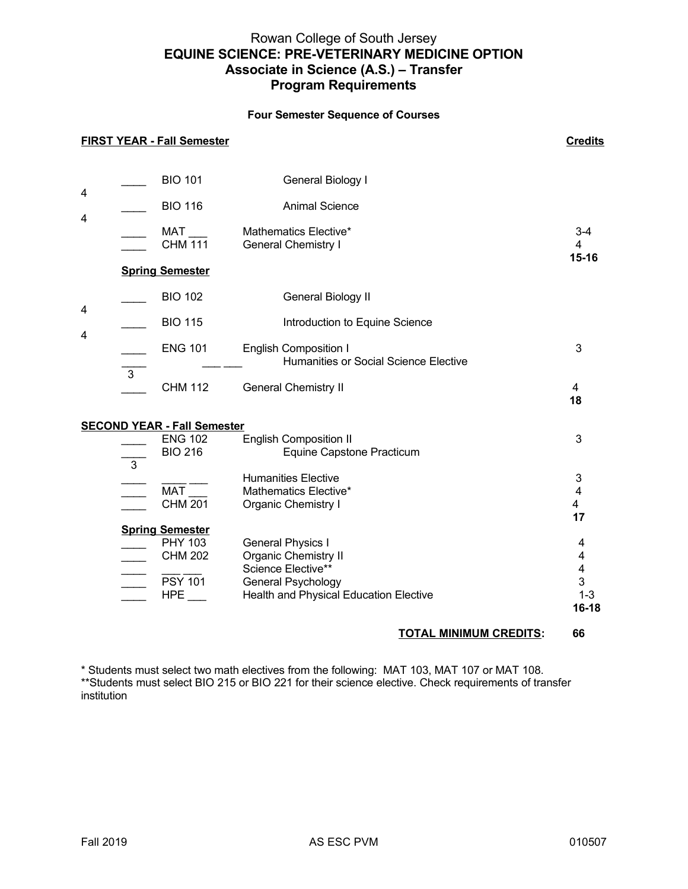# Rowan College of South Jersey **EQUINE SCIENCE: PRE-VETERINARY MEDICINE OPTION Associate in Science (A.S.) – Transfer Program Requirements**

### **Four Semester Sequence of Courses**

|                                    |                | <b>FIRST YEAR - Fall Semester</b>                                                             |                                                                                                                                        | <b>Credits</b>                       |  |  |  |
|------------------------------------|----------------|-----------------------------------------------------------------------------------------------|----------------------------------------------------------------------------------------------------------------------------------------|--------------------------------------|--|--|--|
| 4<br>4                             |                | <b>BIO 101</b><br><b>BIO 116</b>                                                              | General Biology I<br><b>Animal Science</b>                                                                                             |                                      |  |  |  |
|                                    |                | <b>MAT</b><br><b>CHM</b> 111                                                                  | Mathematics Elective*<br><b>General Chemistry I</b>                                                                                    | $3 - 4$<br>4<br>15-16                |  |  |  |
|                                    |                | <b>Spring Semester</b>                                                                        |                                                                                                                                        |                                      |  |  |  |
| 4<br>4                             |                | <b>BIO 102</b>                                                                                | General Biology II                                                                                                                     |                                      |  |  |  |
|                                    |                | <b>BIO 115</b>                                                                                | Introduction to Equine Science                                                                                                         |                                      |  |  |  |
|                                    |                | <b>ENG 101</b>                                                                                | <b>English Composition I</b><br>Humanities or Social Science Elective                                                                  | 3                                    |  |  |  |
|                                    | $\overline{3}$ | <b>CHM 112</b>                                                                                | <b>General Chemistry II</b>                                                                                                            | $\overline{4}$<br>18                 |  |  |  |
| <b>SECOND YEAR - Fall Semester</b> |                |                                                                                               |                                                                                                                                        |                                      |  |  |  |
|                                    | $\overline{3}$ | <b>ENG 102</b><br><b>BIO 216</b>                                                              | <b>English Composition II</b><br>Equine Capstone Practicum                                                                             | 3                                    |  |  |  |
|                                    |                | <b>MAT</b><br>$CHM$ 201                                                                       | <b>Humanities Elective</b><br>Mathematics Elective*<br><b>Organic Chemistry I</b>                                                      | 3<br>4<br>4<br>17                    |  |  |  |
|                                    |                | <b>Spring Semester</b><br>PHY 103<br><b>CHM 202</b><br><b>PSY 101</b><br>$HPE$ <sub>___</sub> | <b>General Physics I</b><br>Organic Chemistry II<br>Science Elective**<br>General Psychology<br>Health and Physical Education Elective | 4<br>4<br>4<br>3<br>$1 - 3$<br>16-18 |  |  |  |

## **TOTAL MINIMUM CREDITS: 66**

\* Students must select two math electives from the following: MAT 103, MAT 107 or MAT 108.

\*\*Students must select BIO 215 or BIO 221 for their science elective. Check requirements of transfer institution